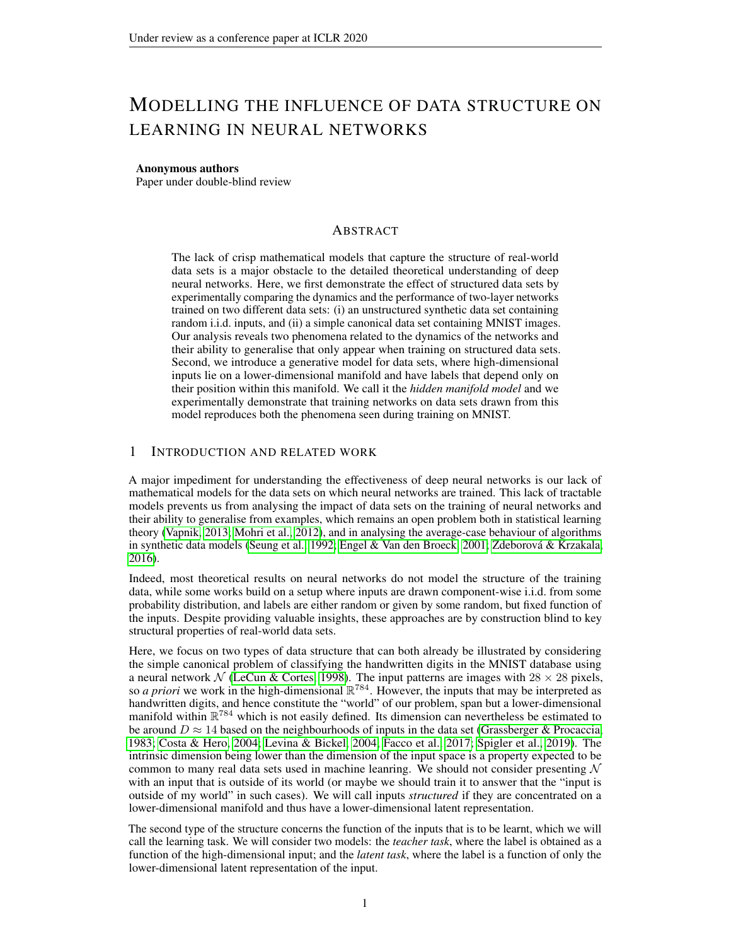# MODELLING THE INFLUENCE OF DATA STRUCTURE ON LEARNING IN NEURAL NETWORKS

#### Anonymous authors

Paper under double-blind review

# ABSTRACT

The lack of crisp mathematical models that capture the structure of real-world data sets is a major obstacle to the detailed theoretical understanding of deep neural networks. Here, we first demonstrate the effect of structured data sets by experimentally comparing the dynamics and the performance of two-layer networks trained on two different data sets: (i) an unstructured synthetic data set containing random i.i.d. inputs, and (ii) a simple canonical data set containing MNIST images. Our analysis reveals two phenomena related to the dynamics of the networks and their ability to generalise that only appear when training on structured data sets. Second, we introduce a generative model for data sets, where high-dimensional inputs lie on a lower-dimensional manifold and have labels that depend only on their position within this manifold. We call it the *hidden manifold model* and we experimentally demonstrate that training networks on data sets drawn from this model reproduces both the phenomena seen during training on MNIST.

## 1 INTRODUCTION AND RELATED WORK

A major impediment for understanding the effectiveness of deep neural networks is our lack of mathematical models for the data sets on which neural networks are trained. This lack of tractable models prevents us from analysing the impact of data sets on the training of neural networks and their ability to generalise from examples, which remains an open problem both in statistical learning theory [\(Vapnik, 2013;](#page-9-0) [Mohri et al., 2012\)](#page-9-1), and in analysing the average-case behaviour of algorithms in synthetic data models [\(Seung et al., 1992;](#page-9-2) [Engel & Van den Broeck, 2001;](#page-8-0) [Zdeborova & Krzakala,](#page-9-3) ´ [2016\)](#page-9-3).

Indeed, most theoretical results on neural networks do not model the structure of the training data, while some works build on a setup where inputs are drawn component-wise i.i.d. from some probability distribution, and labels are either random or given by some random, but fixed function of the inputs. Despite providing valuable insights, these approaches are by construction blind to key structural properties of real-world data sets.

Here, we focus on two types of data structure that can both already be illustrated by considering the simple canonical problem of classifying the handwritten digits in the MNIST database using a neural network  $N$  [\(LeCun & Cortes, 1998\)](#page-8-1). The input patterns are images with  $28 \times 28$  pixels, so *a priori* we work in the high-dimensional  $\mathbb{R}^{784}$ . However, the inputs that may be interpreted as handwritten digits, and hence constitute the "world" of our problem, span but a lower-dimensional manifold within  $\mathbb{R}^{784}$  which is not easily defined. Its dimension can nevertheless be estimated to be around  $D \approx 14$  based on the neighbourhoods of inputs in the data set [\(Grassberger & Procaccia,](#page-8-2) [1983;](#page-8-2) [Costa & Hero, 2004;](#page-8-3) [Levina & Bickel, 2004;](#page-8-4) [Facco et al., 2017;](#page-8-5) [Spigler et al., 2019\)](#page-9-4). The intrinsic dimension being lower than the dimension of the input space is a property expected to be common to many real data sets used in machine leanring. We should not consider presenting  $N$ with an input that is outside of its world (or maybe we should train it to answer that the "input is outside of my world" in such cases). We will call inputs *structured* if they are concentrated on a lower-dimensional manifold and thus have a lower-dimensional latent representation.

The second type of the structure concerns the function of the inputs that is to be learnt, which we will call the learning task. We will consider two models: the *teacher task*, where the label is obtained as a function of the high-dimensional input; and the *latent task*, where the label is a function of only the lower-dimensional latent representation of the input.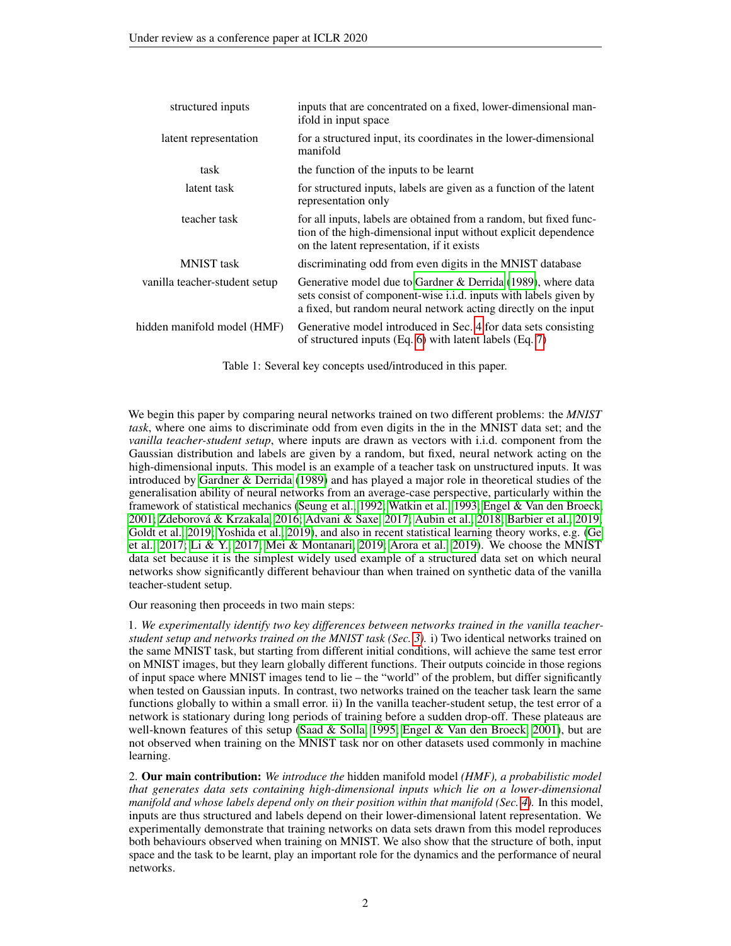| structured inputs             | inputs that are concentrated on a fixed, lower-dimensional man-<br>ifold in input space                                                                                                              |
|-------------------------------|------------------------------------------------------------------------------------------------------------------------------------------------------------------------------------------------------|
| latent representation         | for a structured input, its coordinates in the lower-dimensional<br>manifold                                                                                                                         |
| task                          | the function of the inputs to be learnt                                                                                                                                                              |
| latent task                   | for structured inputs, labels are given as a function of the latent<br>representation only                                                                                                           |
| teacher task                  | for all inputs, labels are obtained from a random, but fixed func-<br>tion of the high-dimensional input without explicit dependence<br>on the latent representation, if it exists                   |
| <b>MNIST</b> task             | discriminating odd from even digits in the MNIST database                                                                                                                                            |
| vanilla teacher-student setup | Generative model due to Gardner & Derrida (1989), where data<br>sets consist of component-wise i.i.d. inputs with labels given by<br>a fixed, but random neural network acting directly on the input |
| hidden manifold model (HMF)   | Generative model introduced in Sec. 4 for data sets consisting<br>of structured inputs $(Eq. 6)$ with latent labels $(Eq. 7)$                                                                        |

Table 1: Several key concepts used/introduced in this paper.

We begin this paper by comparing neural networks trained on two different problems: the *MNIST task*, where one aims to discriminate odd from even digits in the in the MNIST data set; and the *vanilla teacher-student setup*, where inputs are drawn as vectors with i.i.d. component from the Gaussian distribution and labels are given by a random, but fixed, neural network acting on the high-dimensional inputs. This model is an example of a teacher task on unstructured inputs. It was introduced by [Gardner & Derrida](#page-8-6) [\(1989\)](#page-8-6) and has played a major role in theoretical studies of the generalisation ability of neural networks from an average-case perspective, particularly within the framework of statistical mechanics [\(Seung et al., 1992;](#page-9-2) [Watkin et al., 1993;](#page-9-5) [Engel & Van den Broeck,](#page-8-0) [2001;](#page-8-0) Zdeborová & Krzakala, 2016; [Advani & Saxe, 2017;](#page-8-7) [Aubin et al., 2018;](#page-8-8) [Barbier et al., 2019;](#page-8-9) [Goldt et al., 2019;](#page-8-10) [Yoshida et al., 2019\)](#page-9-6), and also in recent statistical learning theory works, e.g. [\(Ge](#page-8-11) [et al., 2017;](#page-8-11) [Li & Y., 2017;](#page-8-12) [Mei & Montanari, 2019;](#page-9-7) [Arora et al., 2019\)](#page-8-13). We choose the MNIST data set because it is the simplest widely used example of a structured data set on which neural networks show significantly different behaviour than when trained on synthetic data of the vanilla teacher-student setup.

Our reasoning then proceeds in two main steps:

1. *We experimentally identify two key differences between networks trained in the vanilla teacherstudent setup and networks trained on the MNIST task (Sec. [3\)](#page-3-0).* i) Two identical networks trained on the same MNIST task, but starting from different initial conditions, will achieve the same test error on MNIST images, but they learn globally different functions. Their outputs coincide in those regions of input space where MNIST images tend to lie – the "world" of the problem, but differ significantly when tested on Gaussian inputs. In contrast, two networks trained on the teacher task learn the same functions globally to within a small error. ii) In the vanilla teacher-student setup, the test error of a network is stationary during long periods of training before a sudden drop-off. These plateaus are well-known features of this setup [\(Saad & Solla, 1995;](#page-9-8) [Engel & Van den Broeck, 2001\)](#page-8-0), but are not observed when training on the MNIST task nor on other datasets used commonly in machine learning.

2. Our main contribution: *We introduce the* hidden manifold model *(HMF), a probabilistic model that generates data sets containing high-dimensional inputs which lie on a lower-dimensional manifold and whose labels depend only on their position within that manifold (Sec. [4\)](#page-5-0).* In this model, inputs are thus structured and labels depend on their lower-dimensional latent representation. We experimentally demonstrate that training networks on data sets drawn from this model reproduces both behaviours observed when training on MNIST. We also show that the structure of both, input space and the task to be learnt, play an important role for the dynamics and the performance of neural networks.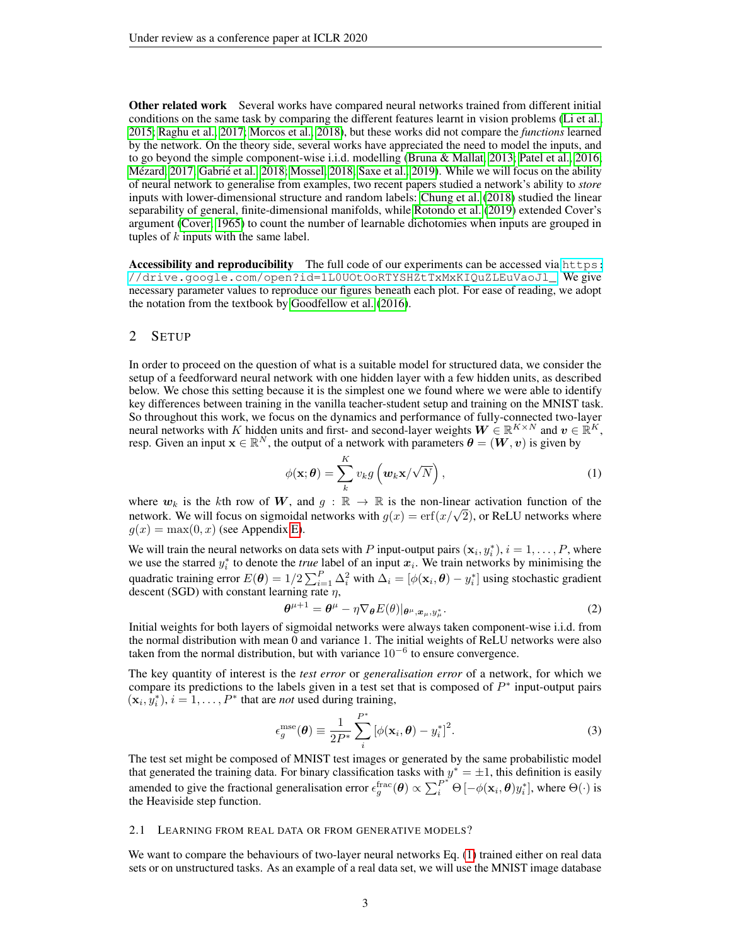Other related work Several works have compared neural networks trained from different initial conditions on the same task by comparing the different features learnt in vision problems [\(Li et al.,](#page-9-9) [2015;](#page-9-9) [Raghu et al., 2017;](#page-9-10) [Morcos et al., 2018\)](#page-9-11), but these works did not compare the *functions* learned by the network. On the theory side, several works have appreciated the need to model the inputs, and to go beyond the simple component-wise i.i.d. modelling [\(Bruna & Mallat, 2013;](#page-8-14) [Patel et al., 2016;](#page-9-12) Mézard, 2017; Gabrié et al., 2018; [Mossel, 2018;](#page-9-14) [Saxe et al., 2019\)](#page-9-15). While we will focus on the ability of neural network to generalise from examples, two recent papers studied a network's ability to *store* inputs with lower-dimensional structure and random labels: [Chung et al.](#page-8-16) [\(2018\)](#page-8-16) studied the linear separability of general, finite-dimensional manifolds, while [Rotondo et al.](#page-9-16) [\(2019\)](#page-9-16) extended Cover's argument [\(Cover, 1965\)](#page-8-17) to count the number of learnable dichotomies when inputs are grouped in tuples of  $k$  inputs with the same label.

Accessibility and reproducibility The full code of our experiments can be accessed via [https:](https://drive.google.com/open?id=1L0UOtOoRTYSHZtTxMxKIQuZLEuVaoJl_) [//drive.google.com/open?id=1L0UOtOoRTYSHZtTxMxKIQuZLEuVaoJl\\_](https://drive.google.com/open?id=1L0UOtOoRTYSHZtTxMxKIQuZLEuVaoJl_). We give necessary parameter values to reproduce our figures beneath each plot. For ease of reading, we adopt the notation from the textbook by [Goodfellow et al.](#page-8-18) [\(2016\)](#page-8-18).

### <span id="page-2-4"></span>2 SETUP

In order to proceed on the question of what is a suitable model for structured data, we consider the setup of a feedforward neural network with one hidden layer with a few hidden units, as described below. We chose this setting because it is the simplest one we found where we were able to identify key differences between training in the vanilla teacher-student setup and training on the MNIST task. So throughout this work, we focus on the dynamics and performance of fully-connected two-layer neural networks with K hidden units and first- and second-layer weights  $W \in \mathbb{R}^{K \times N}$  and  $v \in \mathbb{R}^K$ , resp. Given an input  $\mathbf{x} \in \mathbb{R}^N$ , the output of a network with parameters  $\boldsymbol{\theta} = (\boldsymbol{W}, \boldsymbol{v})$  is given by

<span id="page-2-0"></span>
$$
\phi(\mathbf{x};\boldsymbol{\theta}) = \sum_{k}^{K} v_{k} g\left(\boldsymbol{w}_{k}\mathbf{x}/\sqrt{N}\right), \qquad (1)
$$

where  $w_k$  is the kth row of W, and  $g : \mathbb{R} \to \mathbb{R}$  is the non-linear activation function of the where  $w_k$  is the  $\kappa$ th row of  $w$ , and  $g : \mathbb{R} \to \mathbb{R}$  is the non-linear activation function of the network. We will focus on sigmoidal networks with  $g(x) = \text{erf}(x/\sqrt{2})$ , or ReLU networks where  $q(x) = \max(0, x)$  (see Appendix [E\)](#page-12-0).

We will train the neural networks on data sets with P input-output pairs  $(\mathbf{x}_i, y_i^*), i = 1, \dots, P$ , where we use the starred  $y_i^*$  to denote the *true* label of an input  $x_i$ . We train networks by minimising the quadratic training error  $E(\bm{\theta}) = 1/2 \sum_{i=1}^{P} \Delta_i^2$  with  $\Delta_i = [\phi(\mathbf{x}_i, \bm{\theta}) - y_i^*]$  using stochastic gradient descent (SGD) with constant learning rate  $\eta$ ,

<span id="page-2-1"></span>
$$
\boldsymbol{\theta}^{\mu+1} = \boldsymbol{\theta}^{\mu} - \eta \nabla_{\boldsymbol{\theta}} E(\theta) |_{\boldsymbol{\theta}^{\mu}, \boldsymbol{x}_{\mu}, y_{\mu}^{*}}.
$$
\n(2)

Initial weights for both layers of sigmoidal networks were always taken component-wise i.i.d. from the normal distribution with mean 0 and variance 1. The initial weights of ReLU networks were also taken from the normal distribution, but with variance  $10^{-6}$  to ensure convergence.

The key quantity of interest is the *test error* or *generalisation error* of a network, for which we compare its predictions to the labels given in a test set that is composed of  $P^*$  input-output pairs  $(\mathbf{x}_i, y_i^*), i = 1, \dots, P^*$  that are *not* used during training,

<span id="page-2-2"></span>
$$
\epsilon_g^{\text{mse}}(\boldsymbol{\theta}) \equiv \frac{1}{2P^*} \sum_{i}^{P^*} \left[ \phi(\mathbf{x}_i, \boldsymbol{\theta}) - y_i^* \right]^2.
$$
 (3)

The test set might be composed of MNIST test images or generated by the same probabilistic model that generated the training data. For binary classification tasks with  $y^* = \pm 1$ , this definition is easily amended to give the fractional generalisation error  $\epsilon_g^{\text{frac}}(\theta) \propto \sum_i^{P^*} \Theta\left[-\phi(\mathbf{x}_i, \theta)y_i^*\right]$ , where  $\Theta(\cdot)$  is the Heaviside step function.

#### <span id="page-2-3"></span>2.1 LEARNING FROM REAL DATA OR FROM GENERATIVE MODELS?

We want to compare the behaviours of two-layer neural networks Eq. [\(1\)](#page-2-0) trained either on real data sets or on unstructured tasks. As an example of a real data set, we will use the MNIST image database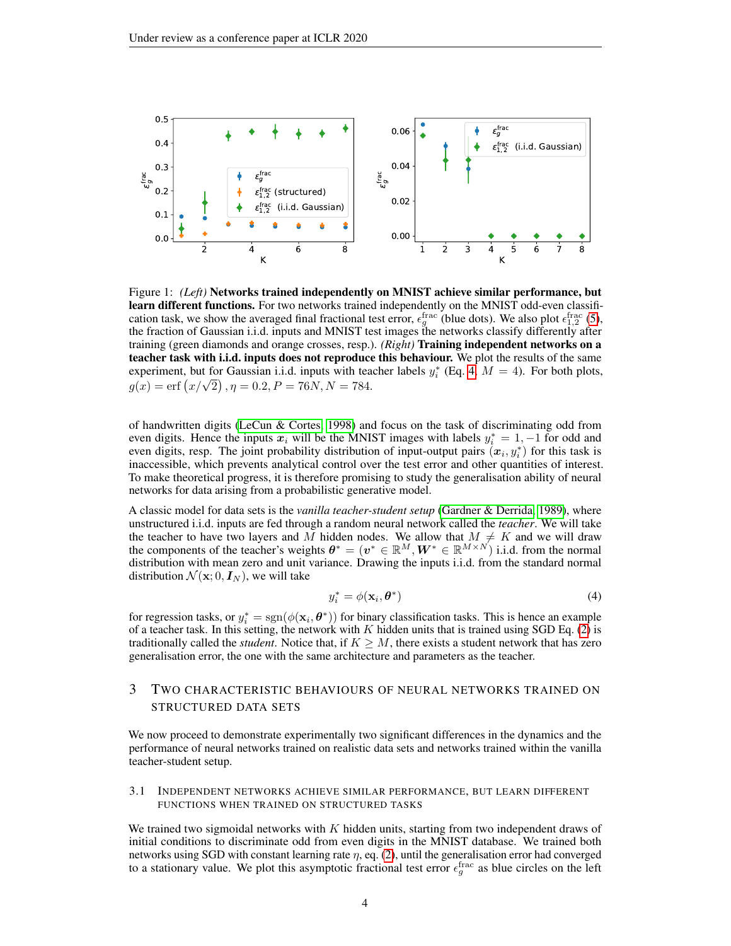<span id="page-3-2"></span>

Figure 1: *(Left)* Networks trained independently on MNIST achieve similar performance, but learn different functions. For two networks trained independently on the MNIST odd-even classification task, we show the averaged final fractional test error,  $\epsilon_g^{\text{frac}}$  (blue dots). We also plot  $\epsilon_{1,2}^{\text{frac}}$  [\(5\)](#page-4-0), the fraction of Gaussian i.i.d. inputs and MNIST test images the networks classify differently after training (green diamonds and orange crosses, resp.). *(Right)* Training independent networks on a teacher task with i.i.d. inputs does not reproduce this behaviour. We plot the results of the same experiment, but for Gaussian i.i.d. inputs with teacher labels  $y_i^*$  (Eq. [4,](#page-3-1)  $M = 4$ ). For both plots, experiment, but for Gaussian 1.1.d. inputs with tea<br>  $g(x) = \text{erf} (x/\sqrt{2}), \eta = 0.2, P = 76N, N = 784.$ 

of handwritten digits [\(LeCun & Cortes, 1998\)](#page-8-1) and focus on the task of discriminating odd from even digits. Hence the inputs  $x_i$  will be the MNIST images with labels  $y_i^* = 1, -1$  for odd and even digits, resp. The joint probability distribution of input-output pairs  $(x_i, y_i^*)$  for this task is inaccessible, which prevents analytical control over the test error and other quantities of interest. To make theoretical progress, it is therefore promising to study the generalisation ability of neural networks for data arising from a probabilistic generative model.

A classic model for data sets is the *vanilla teacher-student setup* [\(Gardner & Derrida, 1989\)](#page-8-6), where unstructured i.i.d. inputs are fed through a random neural network called the *teacher*. We will take the teacher to have two layers and M hidden nodes. We allow that  $M \neq K$  and we will draw the components of the teacher's weights  $\theta^* = (\boldsymbol{v}^* \in \mathbb{R}^M, \boldsymbol{W}^* \in \mathbb{R}^{M \times N})$  i.i.d. from the normal distribution with mean zero and unit variance. Drawing the inputs i.i.d. from the standard normal distribution  $\mathcal{N}(\mathbf{x};0,\mathbf{I}_N)$ , we will take

<span id="page-3-1"></span>
$$
y_i^* = \phi(\mathbf{x}_i, \boldsymbol{\theta}^*)
$$
 (4)

for regression tasks, or  $y_i^* = \text{sgn}(\phi(\mathbf{x}_i, \theta^*))$  for binary classification tasks. This is hence an example of a teacher task. In this setting, the network with  $K$  hidden units that is trained using SGD Eq. [\(2\)](#page-2-1) is traditionally called the *student*. Notice that, if  $K \geq M$ , there exists a student network that has zero generalisation error, the one with the same architecture and parameters as the teacher.

# <span id="page-3-0"></span>3 TWO CHARACTERISTIC BEHAVIOURS OF NEURAL NETWORKS TRAINED ON STRUCTURED DATA SETS

We now proceed to demonstrate experimentally two significant differences in the dynamics and the performance of neural networks trained on realistic data sets and networks trained within the vanilla teacher-student setup.

#### <span id="page-3-3"></span>3.1 INDEPENDENT NETWORKS ACHIEVE SIMILAR PERFORMANCE, BUT LEARN DIFFERENT FUNCTIONS WHEN TRAINED ON STRUCTURED TASKS

We trained two sigmoidal networks with  $K$  hidden units, starting from two independent draws of initial conditions to discriminate odd from even digits in the MNIST database. We trained both networks using SGD with constant learning rate  $\eta$ , eq. [\(2\)](#page-2-1), until the generalisation error had converged to a stationary value. We plot this asymptotic fractional test error  $\epsilon_g^{\text{frac}}$  as blue circles on the left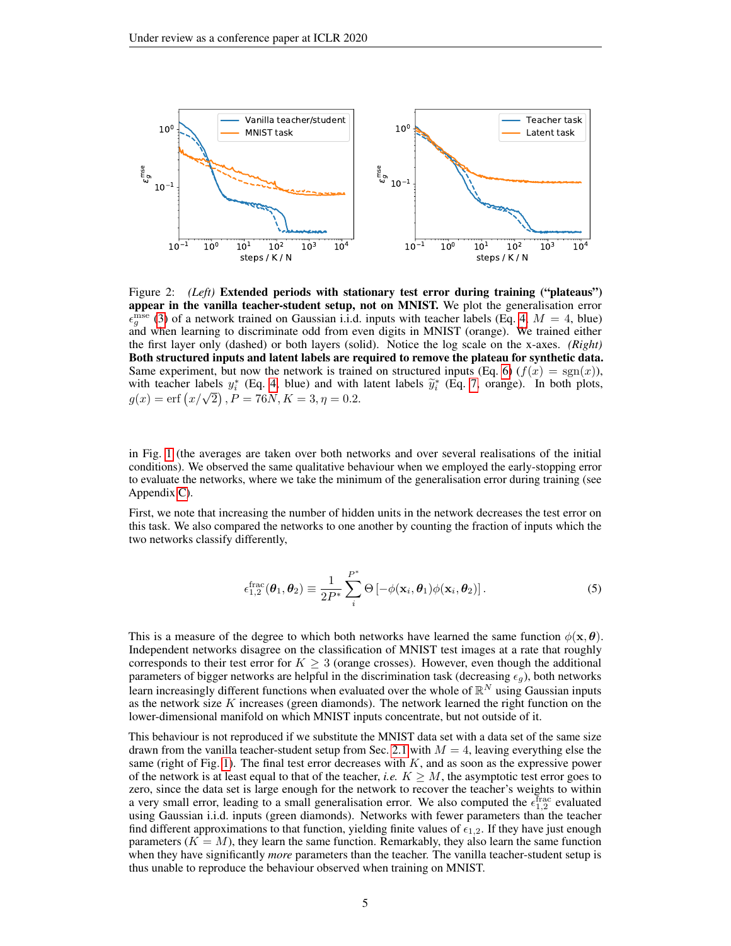<span id="page-4-1"></span>

Figure 2: *(Left)* Extended periods with stationary test error during training ("plateaus") appear in the vanilla teacher-student setup, not on MNIST. We plot the generalisation error  $\epsilon_{g}^{\overline{m}$ se [\(3\)](#page-2-2) of a network trained on Gaussian i.i.d. inputs with teacher labels (Eq. [4,](#page-3-1)  $M = 4$ , blue) and when learning to discriminate odd from even digits in MNIST (orange). We trained either the first layer only (dashed) or both layers (solid). Notice the log scale on the x-axes. *(Right)* Both structured inputs and latent labels are required to remove the plateau for synthetic data. Same experiment, but now the network is trained on structured inputs (Eq. [6\)](#page-5-1)  $(f(x) = \text{sgn}(x))$ , with teacher labels  $y_i^*$  (Eq. [4,](#page-3-1) blue) and with latent labels  $\tilde{y}_i^*$  (Eq. [7,](#page-5-2) orange). In both plots, with teacher labels  $y_i$  (Eq. 4, blue) and with<br>  $g(x) = erf(x/\sqrt{2})$ ,  $P = 76N$ ,  $K = 3$ ,  $\eta = 0.2$ .

in Fig. [1](#page-3-2) (the averages are taken over both networks and over several realisations of the initial conditions). We observed the same qualitative behaviour when we employed the early-stopping error to evaluate the networks, where we take the minimum of the generalisation error during training (see Appendix [C\)](#page-11-0).

First, we note that increasing the number of hidden units in the network decreases the test error on this task. We also compared the networks to one another by counting the fraction of inputs which the two networks classify differently,

<span id="page-4-0"></span>
$$
\epsilon_{1,2}^{\text{frac}}(\boldsymbol{\theta}_1, \boldsymbol{\theta}_2) \equiv \frac{1}{2P^*} \sum_{i}^{P^*} \Theta \left[ -\phi(\mathbf{x}_i, \boldsymbol{\theta}_1) \phi(\mathbf{x}_i, \boldsymbol{\theta}_2) \right]. \tag{5}
$$

This is a measure of the degree to which both networks have learned the same function  $\phi(\mathbf{x}, \boldsymbol{\theta})$ . Independent networks disagree on the classification of MNIST test images at a rate that roughly corresponds to their test error for  $K \geq 3$  (orange crosses). However, even though the additional parameters of bigger networks are helpful in the discrimination task (decreasing  $\epsilon_g$ ), both networks learn increasingly different functions when evaluated over the whole of  $\mathbb{R}^N$  using Gaussian inputs as the network size  $K$  increases (green diamonds). The network learned the right function on the lower-dimensional manifold on which MNIST inputs concentrate, but not outside of it.

This behaviour is not reproduced if we substitute the MNIST data set with a data set of the same size drawn from the vanilla teacher-student setup from Sec. [2.1](#page-2-3) with  $M = 4$ , leaving everything else the same (right of Fig. [1\)](#page-3-2). The final test error decreases with  $K$ , and as soon as the expressive power of the network is at least equal to that of the teacher, *i.e.*  $K \geq M$ , the asymptotic test error goes to zero, since the data set is large enough for the network to recover the teacher's weights to within a very small error, leading to a small generalisation error. We also computed the  $\epsilon_{1,2}^{\text{frac}}$  evaluated using Gaussian i.i.d. inputs (green diamonds). Networks with fewer parameters than the teacher find different approximations to that function, yielding finite values of  $\epsilon_{1,2}$ . If they have just enough parameters  $(K = M)$ , they learn the same function. Remarkably, they also learn the same function when they have significantly *more* parameters than the teacher. The vanilla teacher-student setup is thus unable to reproduce the behaviour observed when training on MNIST.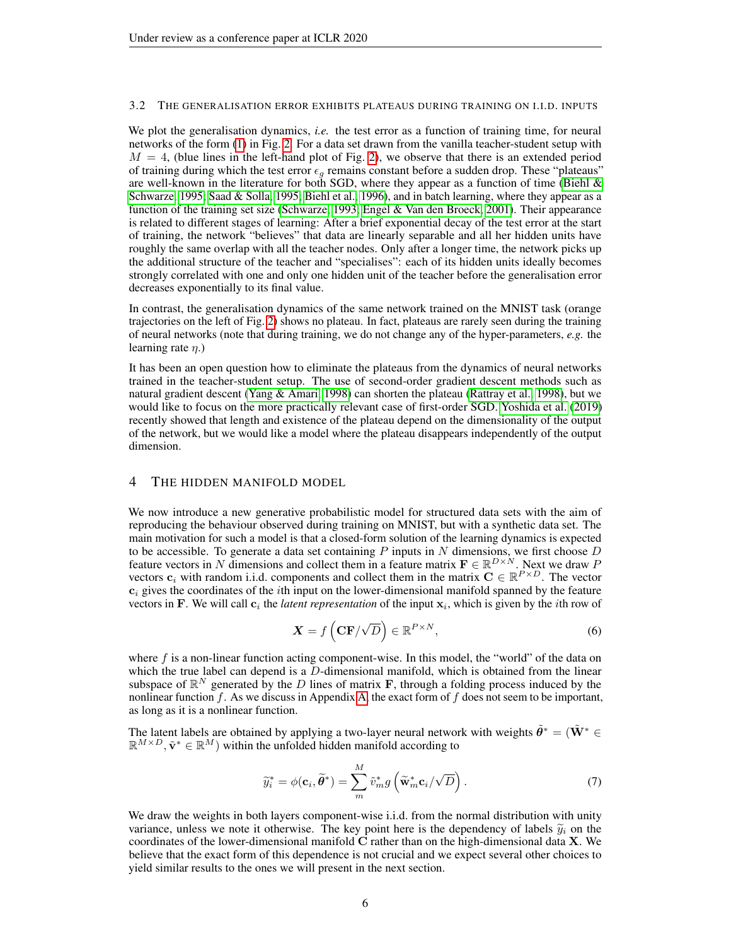#### <span id="page-5-3"></span>3.2 THE GENERALISATION ERROR EXHIBITS PLATEAUS DURING TRAINING ON I.I.D. INPUTS

We plot the generalisation dynamics, *i.e.* the test error as a function of training time, for neural networks of the form [\(1\)](#page-2-0) in Fig. [2.](#page-4-1) For a data set drawn from the vanilla teacher-student setup with  $M = 4$ , (blue lines in the left-hand plot of Fig. [2\)](#page-4-1), we observe that there is an extended period of training during which the test error  $\epsilon_g$  remains constant before a sudden drop. These "plateaus" are well-known in the literature for both SGD, where they appear as a function of time (Biehl  $\&$ [Schwarze, 1995;](#page-8-19) [Saad & Solla, 1995;](#page-9-8) [Biehl et al., 1996\)](#page-8-20), and in batch learning, where they appear as a function of the training set size [\(Schwarze, 1993;](#page-9-17) [Engel & Van den Broeck, 2001\)](#page-8-0). Their appearance is related to different stages of learning: After a brief exponential decay of the test error at the start of training, the network "believes" that data are linearly separable and all her hidden units have roughly the same overlap with all the teacher nodes. Only after a longer time, the network picks up the additional structure of the teacher and "specialises": each of its hidden units ideally becomes strongly correlated with one and only one hidden unit of the teacher before the generalisation error decreases exponentially to its final value.

In contrast, the generalisation dynamics of the same network trained on the MNIST task (orange trajectories on the left of Fig. [2\)](#page-4-1) shows no plateau. In fact, plateaus are rarely seen during the training of neural networks (note that during training, we do not change any of the hyper-parameters, *e.g.* the learning rate  $\eta$ .)

It has been an open question how to eliminate the plateaus from the dynamics of neural networks trained in the teacher-student setup. The use of second-order gradient descent methods such as natural gradient descent [\(Yang & Amari, 1998\)](#page-9-18) can shorten the plateau [\(Rattray et al., 1998\)](#page-9-19), but we would like to focus on the more practically relevant case of first-order SGD. [Yoshida et al.](#page-9-6) [\(2019\)](#page-9-6) recently showed that length and existence of the plateau depend on the dimensionality of the output of the network, but we would like a model where the plateau disappears independently of the output dimension.

#### <span id="page-5-0"></span>4 THE HIDDEN MANIFOLD MODEL

We now introduce a new generative probabilistic model for structured data sets with the aim of reproducing the behaviour observed during training on MNIST, but with a synthetic data set. The main motivation for such a model is that a closed-form solution of the learning dynamics is expected to be accessible. To generate a data set containing P inputs in N dimensions, we first choose  $D$ feature vectors in N dimensions and collect them in a feature matrix  $\mathbf{F} \in \mathbb{R}^{D \times N}$ . Next we draw P vectors  $c_i$  with random i.i.d. components and collect them in the matrix  $C \in \mathbb{R}^{P \times D}$ . The vector  $c_i$  gives the coordinates of the *i*th input on the lower-dimensional manifold spanned by the feature vectors in F. We will call  $c_i$  the *latent representation* of the input  $x_i$ , which is given by the *i*th row of

<span id="page-5-1"></span>
$$
\mathbf{X} = f\left(\mathbf{CF}/\sqrt{D}\right) \in \mathbb{R}^{P \times N},\tag{6}
$$

where  $f$  is a non-linear function acting component-wise. In this model, the "world" of the data on which the true label can depend is a D-dimensional manifold, which is obtained from the linear subspace of  $\mathbb{R}^N$  generated by the D lines of matrix **F**, through a folding process induced by the nonlinear function  $f$ . As we discuss in Appendix [A,](#page-10-0) the exact form of  $f$  does not seem to be important, as long as it is a nonlinear function.

The latent labels are obtained by applying a two-layer neural network with weights  $\tilde{\theta}^* = (\tilde{\mathbf{W}}^* \in \mathbb{R}^2)$  $\mathbb{R}^{M \times D}$ ,  $\tilde{\mathbf{v}}^* \in \mathbb{R}^M$ ) within the unfolded hidden manifold according to

<span id="page-5-2"></span>
$$
\widetilde{y}_i^* = \phi(\mathbf{c}_i, \widetilde{\boldsymbol{\theta}}^*) = \sum_m^M \widetilde{v}_m^* g\left(\widetilde{\mathbf{w}}_m^* \mathbf{c}_i / \sqrt{D}\right).
$$
\n(7)

We draw the weights in both layers component-wise i.i.d. from the normal distribution with unity variance, unless we note it otherwise. The key point here is the dependency of labels  $\tilde{y}_i$  on the coordinates of the lower-dimensional manifold C rather than on the high-dimensional data X. We believe that the exact form of this dependence is not crucial and we expect several other choices to yield similar results to the ones we will present in the next section.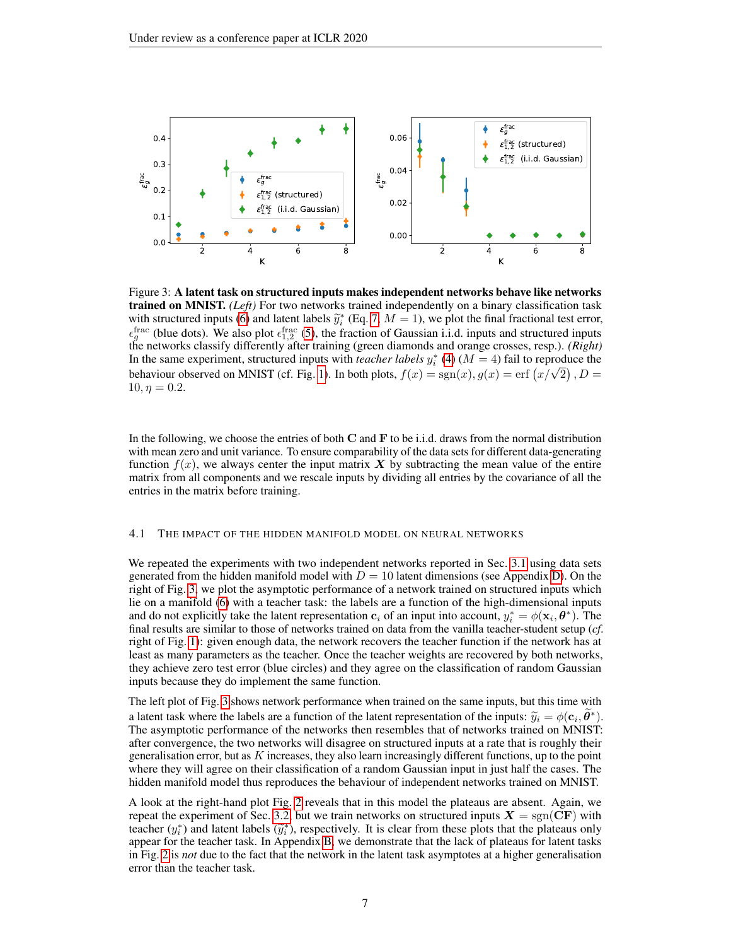<span id="page-6-0"></span>

Figure 3: A latent task on structured inputs makes independent networks behave like networks trained on MNIST. *(Left)* For two networks trained independently on a binary classification task with structured inputs [\(6\)](#page-5-1) and latent labels  $\tilde{y}_i^*$  (Eq. [7,](#page-5-2)  $M = 1$ ), we plot the final fractional test error,  $\epsilon_g^{\text{frac}}$  (blue dots). We also plot  $\epsilon_{1,2}^{\text{frac}}$  [\(5\)](#page-4-0), the fraction of Gaussian i.i.d. inputs and structured inputs the networks classify differently after training (green diamonds and orange crosses, resp.). *(Right)* In the same experiment, structured inputs with *teacher labels*  $y_i^*$  [\(4\)](#page-3-1) ( $M = 4$ ) fail to reproduce the In the same experiment, structured inputs with *teacher tabels*  $y_i$  (4) ( $M = 4$ ) (and to reproduce the behaviour observed on MNIST (cf. Fig. [1\)](#page-3-2). In both plots,  $f(x) = sgn(x)$ ,  $g(x) = erf(x/\sqrt{2})$ ,  $D =$  $10, \eta = 0.2.$ 

In the following, we choose the entries of both  $C$  and  $F$  to be i.i.d. draws from the normal distribution with mean zero and unit variance. To ensure comparability of the data sets for different data-generating function  $f(x)$ , we always center the input matrix X by subtracting the mean value of the entire matrix from all components and we rescale inputs by dividing all entries by the covariance of all the entries in the matrix before training.

### <span id="page-6-1"></span>4.1 THE IMPACT OF THE HIDDEN MANIFOLD MODEL ON NEURAL NETWORKS

We repeated the experiments with two independent networks reported in Sec. [3.1](#page-3-3) using data sets generated from the hidden manifold model with  $D = 10$  latent dimensions (see Appendix [D\)](#page-11-1). On the right of Fig. [3,](#page-6-0) we plot the asymptotic performance of a network trained on structured inputs which lie on a manifold [\(6\)](#page-5-1) with a teacher task: the labels are a function of the high-dimensional inputs and do not explicitly take the latent representation  $c_i$  of an input into account,  $y_i^* = \phi(\mathbf{x}_i, \boldsymbol{\theta}^*)$ . The final results are similar to those of networks trained on data from the vanilla teacher-student setup (*cf*. right of Fig. [1\)](#page-3-2): given enough data, the network recovers the teacher function if the network has at least as many parameters as the teacher. Once the teacher weights are recovered by both networks, they achieve zero test error (blue circles) and they agree on the classification of random Gaussian inputs because they do implement the same function.

The left plot of Fig. [3](#page-6-0) shows network performance when trained on the same inputs, but this time with a latent task where the labels are a function of the latent representation of the inputs:  $\tilde{y}_i = \phi(\mathbf{c}_i, \tilde{\theta}^*)$ .<br>The asymptotic performance of the networks then resembles that of networks trained on MNIST. The asymptotic performance of the networks then resembles that of networks trained on MNIST: after convergence, the two networks will disagree on structured inputs at a rate that is roughly their generalisation error, but as K increases, they also learn increasingly different functions, up to the point where they will agree on their classification of a random Gaussian input in just half the cases. The hidden manifold model thus reproduces the behaviour of independent networks trained on MNIST.

A look at the right-hand plot Fig. [2](#page-4-1) reveals that in this model the plateaus are absent. Again, we repeat the experiment of Sec. [3.2,](#page-5-3) but we train networks on structured inputs  $X = sgn(CF)$  with teacher  $(y_i^*)$  and latent labels  $(\tilde{y}_i^*)$ , respectively. It is clear from these plots that the plateaus only appear for the teacher task. In Appendix B, we demonstrate that the lack of plateaus for latent tasks appear for the teacher task. In Appendix [B,](#page-10-1) we demonstrate that the lack of plateaus for latent tasks in Fig. [2](#page-4-1) is *not* due to the fact that the network in the latent task asymptotes at a higher generalisation error than the teacher task.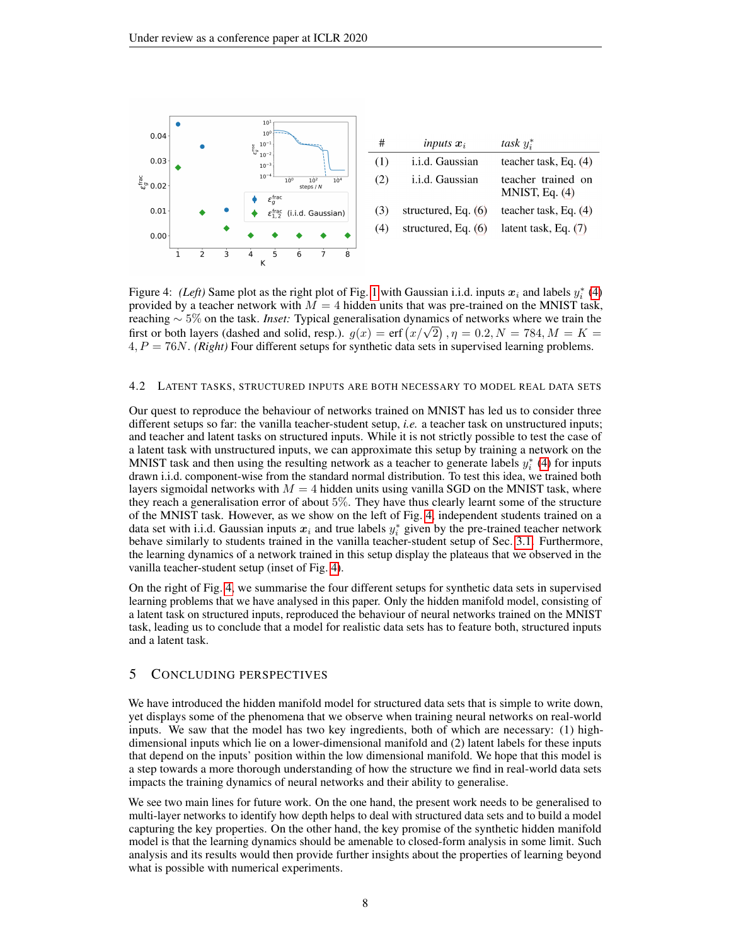<span id="page-7-0"></span>

Figure 4: *(Left)* Same plot as the right plot of Fig. [1](#page-3-2) with Gaussian i.i.d. inputs  $x_i$  and labels  $y_i^*$  [\(4\)](#page-3-1) provided by a teacher network with  $M = 4$  hidden units that was pre-trained on the MNIST task, reaching ∼ 5% on the task. *Inset:* Typical generalisation dynamics of networks where we train the reaching  $\sim$  5% on the task. *Inset:* Typical generalisation dynamics of networks where we train the first or both layers (dashed and solid, resp.).  $g(x) = \text{erf}(x/\sqrt{2})$ ,  $\eta = 0.2$ ,  $N = 784$ ,  $M = K =$ 4, P = 76N. *(Right)* Four different setups for synthetic data sets in supervised learning problems.

#### 4.2 LATENT TASKS, STRUCTURED INPUTS ARE BOTH NECESSARY TO MODEL REAL DATA SETS

Our quest to reproduce the behaviour of networks trained on MNIST has led us to consider three different setups so far: the vanilla teacher-student setup, *i.e.* a teacher task on unstructured inputs; and teacher and latent tasks on structured inputs. While it is not strictly possible to test the case of a latent task with unstructured inputs, we can approximate this setup by training a network on the MNIST task and then using the resulting network as a teacher to generate labels  $y_i^*$  [\(4\)](#page-3-1) for inputs drawn i.i.d. component-wise from the standard normal distribution. To test this idea, we trained both layers sigmoidal networks with  $M = 4$  hidden units using vanilla SGD on the MNIST task, where they reach a generalisation error of about 5%. They have thus clearly learnt some of the structure of the MNIST task. However, as we show on the left of Fig. [4,](#page-7-0) independent students trained on a data set with i.i.d. Gaussian inputs  $x_i$  and true labels  $y_i^*$  given by the pre-trained teacher network behave similarly to students trained in the vanilla teacher-student setup of Sec. [3.1.](#page-3-3) Furthermore, the learning dynamics of a network trained in this setup display the plateaus that we observed in the vanilla teacher-student setup (inset of Fig. [4\)](#page-7-0).

On the right of Fig. [4,](#page-7-0) we summarise the four different setups for synthetic data sets in supervised learning problems that we have analysed in this paper. Only the hidden manifold model, consisting of a latent task on structured inputs, reproduced the behaviour of neural networks trained on the MNIST task, leading us to conclude that a model for realistic data sets has to feature both, structured inputs and a latent task.

## 5 CONCLUDING PERSPECTIVES

We have introduced the hidden manifold model for structured data sets that is simple to write down, yet displays some of the phenomena that we observe when training neural networks on real-world inputs. We saw that the model has two key ingredients, both of which are necessary: (1) highdimensional inputs which lie on a lower-dimensional manifold and (2) latent labels for these inputs that depend on the inputs' position within the low dimensional manifold. We hope that this model is a step towards a more thorough understanding of how the structure we find in real-world data sets impacts the training dynamics of neural networks and their ability to generalise.

We see two main lines for future work. On the one hand, the present work needs to be generalised to multi-layer networks to identify how depth helps to deal with structured data sets and to build a model capturing the key properties. On the other hand, the key promise of the synthetic hidden manifold model is that the learning dynamics should be amenable to closed-form analysis in some limit. Such analysis and its results would then provide further insights about the properties of learning beyond what is possible with numerical experiments.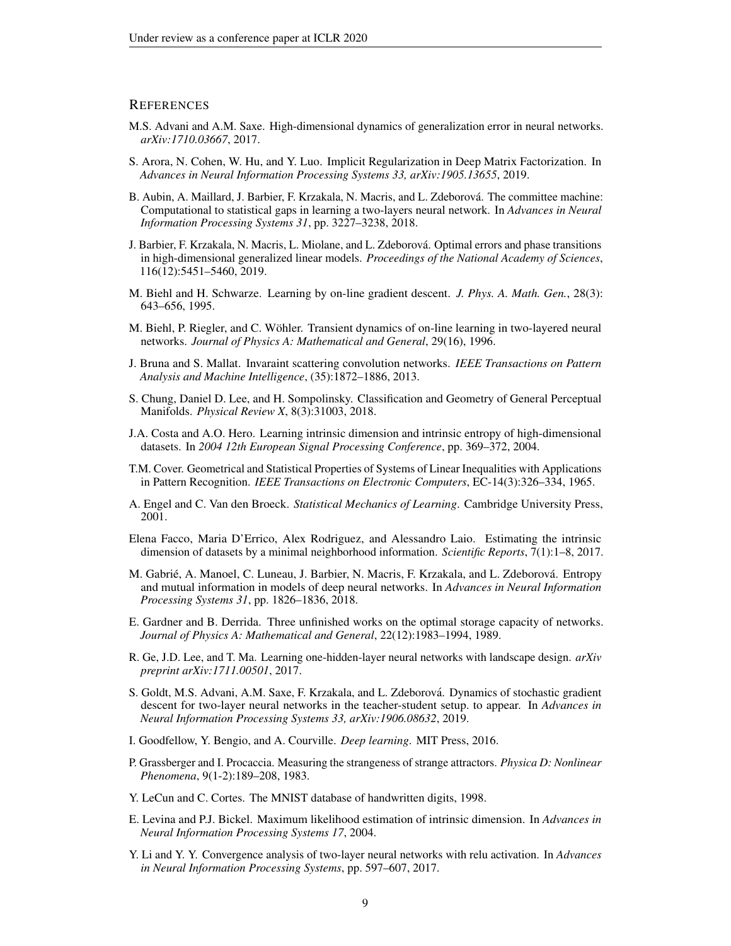#### **REFERENCES**

- <span id="page-8-7"></span>M.S. Advani and A.M. Saxe. High-dimensional dynamics of generalization error in neural networks. *arXiv:1710.03667*, 2017.
- <span id="page-8-13"></span>S. Arora, N. Cohen, W. Hu, and Y. Luo. Implicit Regularization in Deep Matrix Factorization. In *Advances in Neural Information Processing Systems 33, arXiv:1905.13655*, 2019.
- <span id="page-8-8"></span>B. Aubin, A. Maillard, J. Barbier, F. Krzakala, N. Macris, and L. Zdeborová. The committee machine: Computational to statistical gaps in learning a two-layers neural network. In *Advances in Neural Information Processing Systems 31*, pp. 3227–3238, 2018.
- <span id="page-8-9"></span>J. Barbier, F. Krzakala, N. Macris, L. Miolane, and L. Zdeborova. Optimal errors and phase transitions ´ in high-dimensional generalized linear models. *Proceedings of the National Academy of Sciences*, 116(12):5451–5460, 2019.
- <span id="page-8-19"></span>M. Biehl and H. Schwarze. Learning by on-line gradient descent. *J. Phys. A. Math. Gen.*, 28(3): 643–656, 1995.
- <span id="page-8-20"></span>M. Biehl, P. Riegler, and C. Wöhler. Transient dynamics of on-line learning in two-layered neural networks. *Journal of Physics A: Mathematical and General*, 29(16), 1996.
- <span id="page-8-14"></span>J. Bruna and S. Mallat. Invaraint scattering convolution networks. *IEEE Transactions on Pattern Analysis and Machine Intelligence*, (35):1872–1886, 2013.
- <span id="page-8-16"></span>S. Chung, Daniel D. Lee, and H. Sompolinsky. Classification and Geometry of General Perceptual Manifolds. *Physical Review X*, 8(3):31003, 2018.
- <span id="page-8-3"></span>J.A. Costa and A.O. Hero. Learning intrinsic dimension and intrinsic entropy of high-dimensional datasets. In *2004 12th European Signal Processing Conference*, pp. 369–372, 2004.
- <span id="page-8-17"></span>T.M. Cover. Geometrical and Statistical Properties of Systems of Linear Inequalities with Applications in Pattern Recognition. *IEEE Transactions on Electronic Computers*, EC-14(3):326–334, 1965.
- <span id="page-8-0"></span>A. Engel and C. Van den Broeck. *Statistical Mechanics of Learning*. Cambridge University Press, 2001.
- <span id="page-8-5"></span>Elena Facco, Maria D'Errico, Alex Rodriguez, and Alessandro Laio. Estimating the intrinsic dimension of datasets by a minimal neighborhood information. *Scientific Reports*, 7(1):1–8, 2017.
- <span id="page-8-15"></span>M. Gabrié, A. Manoel, C. Luneau, J. Barbier, N. Macris, F. Krzakala, and L. Zdeborová. Entropy and mutual information in models of deep neural networks. In *Advances in Neural Information Processing Systems 31*, pp. 1826–1836, 2018.
- <span id="page-8-6"></span>E. Gardner and B. Derrida. Three unfinished works on the optimal storage capacity of networks. *Journal of Physics A: Mathematical and General*, 22(12):1983–1994, 1989.
- <span id="page-8-11"></span>R. Ge, J.D. Lee, and T. Ma. Learning one-hidden-layer neural networks with landscape design. *arXiv preprint arXiv:1711.00501*, 2017.
- <span id="page-8-10"></span>S. Goldt, M.S. Advani, A.M. Saxe, F. Krzakala, and L. Zdeborová. Dynamics of stochastic gradient descent for two-layer neural networks in the teacher-student setup. to appear. In *Advances in Neural Information Processing Systems 33, arXiv:1906.08632*, 2019.
- <span id="page-8-18"></span>I. Goodfellow, Y. Bengio, and A. Courville. *Deep learning*. MIT Press, 2016.
- <span id="page-8-2"></span>P. Grassberger and I. Procaccia. Measuring the strangeness of strange attractors. *Physica D: Nonlinear Phenomena*, 9(1-2):189–208, 1983.
- <span id="page-8-1"></span>Y. LeCun and C. Cortes. The MNIST database of handwritten digits, 1998.
- <span id="page-8-4"></span>E. Levina and P.J. Bickel. Maximum likelihood estimation of intrinsic dimension. In *Advances in Neural Information Processing Systems 17*, 2004.
- <span id="page-8-12"></span>Y. Li and Y. Y. Convergence analysis of two-layer neural networks with relu activation. In *Advances in Neural Information Processing Systems*, pp. 597–607, 2017.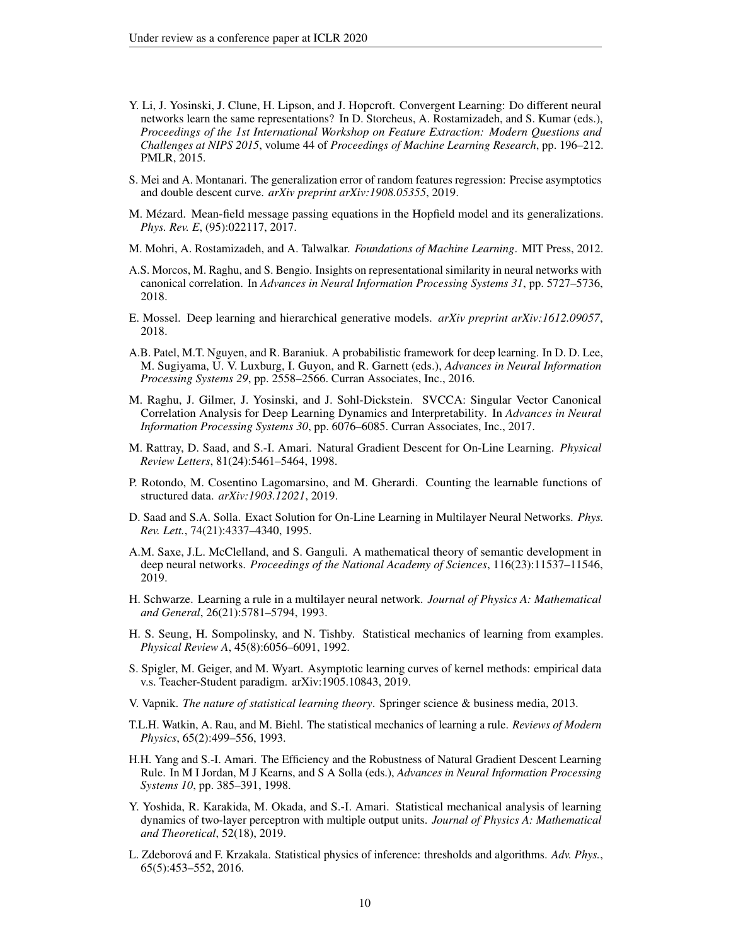- <span id="page-9-9"></span>Y. Li, J. Yosinski, J. Clune, H. Lipson, and J. Hopcroft. Convergent Learning: Do different neural networks learn the same representations? In D. Storcheus, A. Rostamizadeh, and S. Kumar (eds.), *Proceedings of the 1st International Workshop on Feature Extraction: Modern Questions and Challenges at NIPS 2015*, volume 44 of *Proceedings of Machine Learning Research*, pp. 196–212. PMLR, 2015.
- <span id="page-9-7"></span>S. Mei and A. Montanari. The generalization error of random features regression: Precise asymptotics and double descent curve. *arXiv preprint arXiv:1908.05355*, 2019.
- <span id="page-9-13"></span>M. Mezard. Mean-field message passing equations in the Hopfield model and its generalizations. ´ *Phys. Rev. E*, (95):022117, 2017.
- <span id="page-9-1"></span>M. Mohri, A. Rostamizadeh, and A. Talwalkar. *Foundations of Machine Learning*. MIT Press, 2012.
- <span id="page-9-11"></span>A.S. Morcos, M. Raghu, and S. Bengio. Insights on representational similarity in neural networks with canonical correlation. In *Advances in Neural Information Processing Systems 31*, pp. 5727–5736, 2018.
- <span id="page-9-14"></span>E. Mossel. Deep learning and hierarchical generative models. *arXiv preprint arXiv:1612.09057*, 2018.
- <span id="page-9-12"></span>A.B. Patel, M.T. Nguyen, and R. Baraniuk. A probabilistic framework for deep learning. In D. D. Lee, M. Sugiyama, U. V. Luxburg, I. Guyon, and R. Garnett (eds.), *Advances in Neural Information Processing Systems 29*, pp. 2558–2566. Curran Associates, Inc., 2016.
- <span id="page-9-10"></span>M. Raghu, J. Gilmer, J. Yosinski, and J. Sohl-Dickstein. SVCCA: Singular Vector Canonical Correlation Analysis for Deep Learning Dynamics and Interpretability. In *Advances in Neural Information Processing Systems 30*, pp. 6076–6085. Curran Associates, Inc., 2017.
- <span id="page-9-19"></span>M. Rattray, D. Saad, and S.-I. Amari. Natural Gradient Descent for On-Line Learning. *Physical Review Letters*, 81(24):5461–5464, 1998.
- <span id="page-9-16"></span>P. Rotondo, M. Cosentino Lagomarsino, and M. Gherardi. Counting the learnable functions of structured data. *arXiv:1903.12021*, 2019.
- <span id="page-9-8"></span>D. Saad and S.A. Solla. Exact Solution for On-Line Learning in Multilayer Neural Networks. *Phys. Rev. Lett.*, 74(21):4337–4340, 1995.
- <span id="page-9-15"></span>A.M. Saxe, J.L. McClelland, and S. Ganguli. A mathematical theory of semantic development in deep neural networks. *Proceedings of the National Academy of Sciences*, 116(23):11537–11546, 2019.
- <span id="page-9-17"></span>H. Schwarze. Learning a rule in a multilayer neural network. *Journal of Physics A: Mathematical and General*, 26(21):5781–5794, 1993.
- <span id="page-9-2"></span>H. S. Seung, H. Sompolinsky, and N. Tishby. Statistical mechanics of learning from examples. *Physical Review A*, 45(8):6056–6091, 1992.
- <span id="page-9-4"></span>S. Spigler, M. Geiger, and M. Wyart. Asymptotic learning curves of kernel methods: empirical data v.s. Teacher-Student paradigm. arXiv:1905.10843, 2019.
- <span id="page-9-0"></span>V. Vapnik. *The nature of statistical learning theory*. Springer science & business media, 2013.
- <span id="page-9-5"></span>T.L.H. Watkin, A. Rau, and M. Biehl. The statistical mechanics of learning a rule. *Reviews of Modern Physics*, 65(2):499–556, 1993.
- <span id="page-9-18"></span>H.H. Yang and S.-I. Amari. The Efficiency and the Robustness of Natural Gradient Descent Learning Rule. In M I Jordan, M J Kearns, and S A Solla (eds.), *Advances in Neural Information Processing Systems 10*, pp. 385–391, 1998.
- <span id="page-9-6"></span>Y. Yoshida, R. Karakida, M. Okada, and S.-I. Amari. Statistical mechanical analysis of learning dynamics of two-layer perceptron with multiple output units. *Journal of Physics A: Mathematical and Theoretical*, 52(18), 2019.
- <span id="page-9-3"></span>L. Zdeborová and F. Krzakala. Statistical physics of inference: thresholds and algorithms. Adv. Phys., 65(5):453–552, 2016.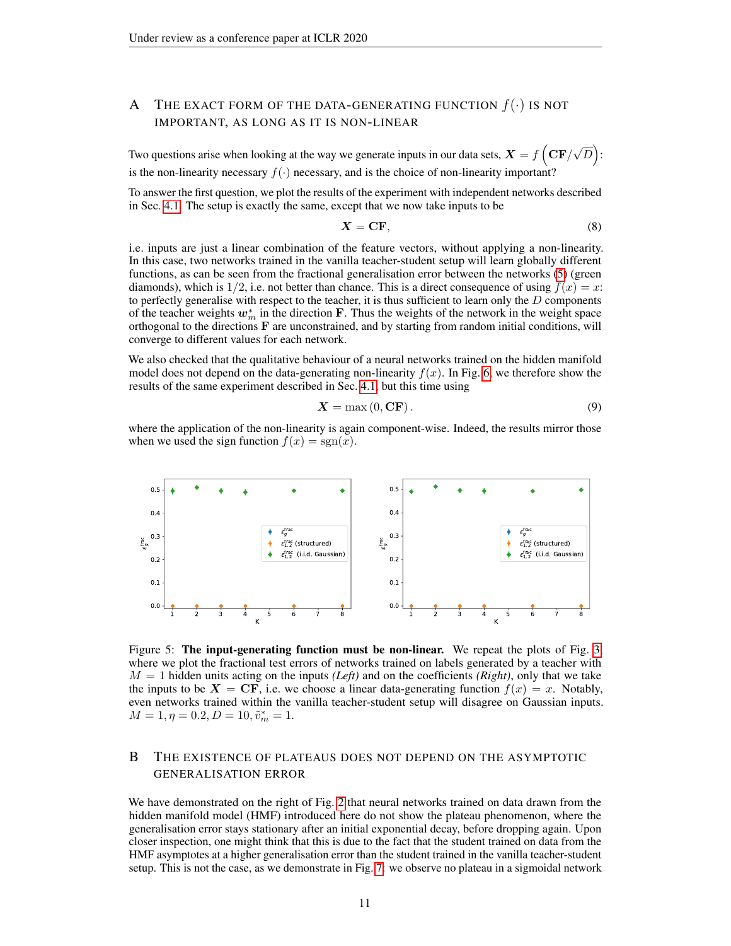# <span id="page-10-0"></span>A THE EXACT FORM OF THE DATA-GENERATING FUNCTION  $f(.)$  IS NOT IMPORTANT, AS LONG AS IT IS NON-LINEAR

Two questions arise when looking at the way we generate inputs in our data sets,  $X = f\left(\mathbf{CF}/\right)$ √  $\overline{D}$ ): is the non-linearity necessary  $f(.)$  necessary, and is the choice of non-linearity important?

To answer the first question, we plot the results of the experiment with independent networks described in Sec. [4.1.](#page-6-1) The setup is exactly the same, except that we now take inputs to be

$$
X = \mathbf{CF},\tag{8}
$$

i.e. inputs are just a linear combination of the feature vectors, without applying a non-linearity. In this case, two networks trained in the vanilla teacher-student setup will learn globally different functions, as can be seen from the fractional generalisation error between the networks [\(5\)](#page-4-0) (green diamonds), which is 1/2, i.e. not better than chance. This is a direct consequence of using  $f(x) = x$ : to perfectly generalise with respect to the teacher, it is thus sufficient to learn only the  $D$  components of the teacher weights  $w_m^*$  in the direction F. Thus the weights of the network in the weight space orthogonal to the directions F are unconstrained, and by starting from random initial conditions, will converge to different values for each network.

We also checked that the qualitative behaviour of a neural networks trained on the hidden manifold model does not depend on the data-generating non-linearity  $f(x)$ . In Fig. [6,](#page-11-2) we therefore show the results of the same experiment described in Sec. [4.1,](#page-6-1) but this time using

$$
X = \max(0, CF). \tag{9}
$$

where the application of the non-linearity is again component-wise. Indeed, the results mirror those when we used the sign function  $f(x) = sgn(x)$ .



Figure 5: The input-generating function must be non-linear. We repeat the plots of Fig. [3,](#page-6-0) where we plot the fractional test errors of networks trained on labels generated by a teacher with  $M = 1$  hidden units acting on the inputs *(Left)* and on the coefficients *(Right)*, only that we take the inputs to be  $X = \mathbf{CF}$ , i.e. we choose a linear data-generating function  $f(x) = x$ . Notably, even networks trained within the vanilla teacher-student setup will disagree on Gaussian inputs.  $M = 1, \eta = 0.2, D = 10, \tilde{v}_m^* = 1.$ 

# <span id="page-10-1"></span>B THE EXISTENCE OF PLATEAUS DOES NOT DEPEND ON THE ASYMPTOTIC GENERALISATION ERROR

We have demonstrated on the right of Fig. [2](#page-4-1) that neural networks trained on data drawn from the hidden manifold model (HMF) introduced here do not show the plateau phenomenon, where the generalisation error stays stationary after an initial exponential decay, before dropping again. Upon closer inspection, one might think that this is due to the fact that the student trained on data from the HMF asymptotes at a higher generalisation error than the student trained in the vanilla teacher-student setup. This is not the case, as we demonstrate in Fig. [7:](#page-11-2) we observe no plateau in a sigmoidal network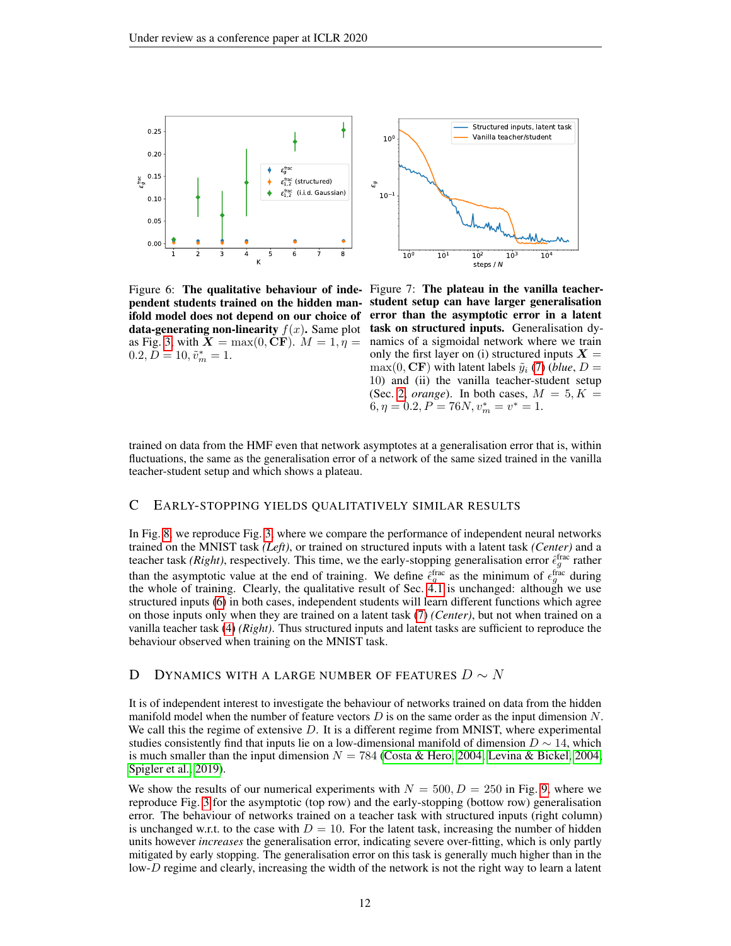<span id="page-11-2"></span>

as Fig. [3,](#page-6-0) with  $X = \max(0, \text{CF})$ .  $M = 1, \eta =$  $0.2, \bar{D} = 10, \tilde{v}_m^* = 1.$ 

Figure 6: The qualitative behaviour of inde- Figure 7: The plateau in the vanilla teacherpendent students trained on the hidden man-student setup can have larger generalisation ifold model does not depend on our choice of error than the asymptotic error in a latent data-generating non-linearity  $f(x)$ . Same plot task on structured inputs. Generalisation dynamics of a sigmoidal network where we train only the first layer on (i) structured inputs  $X =$  $max(0, CF)$  with latent labels  $\tilde{y}_i$  [\(7\)](#page-5-2) (*blue*, *D* = 10) and (ii) the vanilla teacher-student setup (Sec. [2,](#page-2-4) *orange*). In both cases,  $M = 5, K =$  $6, \eta = 0.2, P = 76N, v_m^* = v^* = 1.$ 

trained on data from the HMF even that network asymptotes at a generalisation error that is, within fluctuations, the same as the generalisation error of a network of the same sized trained in the vanilla teacher-student setup and which shows a plateau.

## <span id="page-11-0"></span>C EARLY-STOPPING YIELDS QUALITATIVELY SIMILAR RESULTS

In Fig. [8,](#page-12-1) we reproduce Fig. [3,](#page-6-0) where we compare the performance of independent neural networks trained on the MNIST task *(Left)*, or trained on structured inputs with a latent task *(Center)* and a teacher task *(Right)*, respectively. This time, we the early-stopping generalisation error  $\hat{\epsilon}_g^{\text{frac}}$  rather than the asymptotic value at the end of training. We define  $\hat{\epsilon}_g^{\text{frac}}$  as the minimum of  $\epsilon_g^{\text{frac}}$  during the whole of training. Clearly, the qualitative result of Sec.  $\vec{4}$ . 1 is unchanged: although we use structured inputs [\(6\)](#page-5-1) in both cases, independent students will learn different functions which agree on those inputs only when they are trained on a latent task [\(7\)](#page-5-2) *(Center)*, but not when trained on a vanilla teacher task [\(4\)](#page-3-1) *(Right)*. Thus structured inputs and latent tasks are sufficient to reproduce the behaviour observed when training on the MNIST task.

## <span id="page-11-1"></span>D DYNAMICS WITH A LARGE NUMBER OF FEATURES  $D \sim N$

It is of independent interest to investigate the behaviour of networks trained on data from the hidden manifold model when the number of feature vectors  $D$  is on the same order as the input dimension  $N$ . We call this the regime of extensive  $D$ . It is a different regime from MNIST, where experimental studies consistently find that inputs lie on a low-dimensional manifold of dimension  $D \sim 14$ , which is much smaller than the input dimension  $N = 784$  [\(Costa & Hero, 2004;](#page-8-3) [Levina & Bickel, 2004;](#page-8-4) [Spigler et al., 2019\)](#page-9-4).

We show the results of our numerical experiments with  $N = 500, D = 250$  in Fig. [9,](#page-13-0) where we reproduce Fig. [3](#page-6-0) for the asymptotic (top row) and the early-stopping (bottow row) generalisation error. The behaviour of networks trained on a teacher task with structured inputs (right column) is unchanged w.r.t. to the case with  $D = 10$ . For the latent task, increasing the number of hidden units however *increases* the generalisation error, indicating severe over-fitting, which is only partly mitigated by early stopping. The generalisation error on this task is generally much higher than in the low-D regime and clearly, increasing the width of the network is not the right way to learn a latent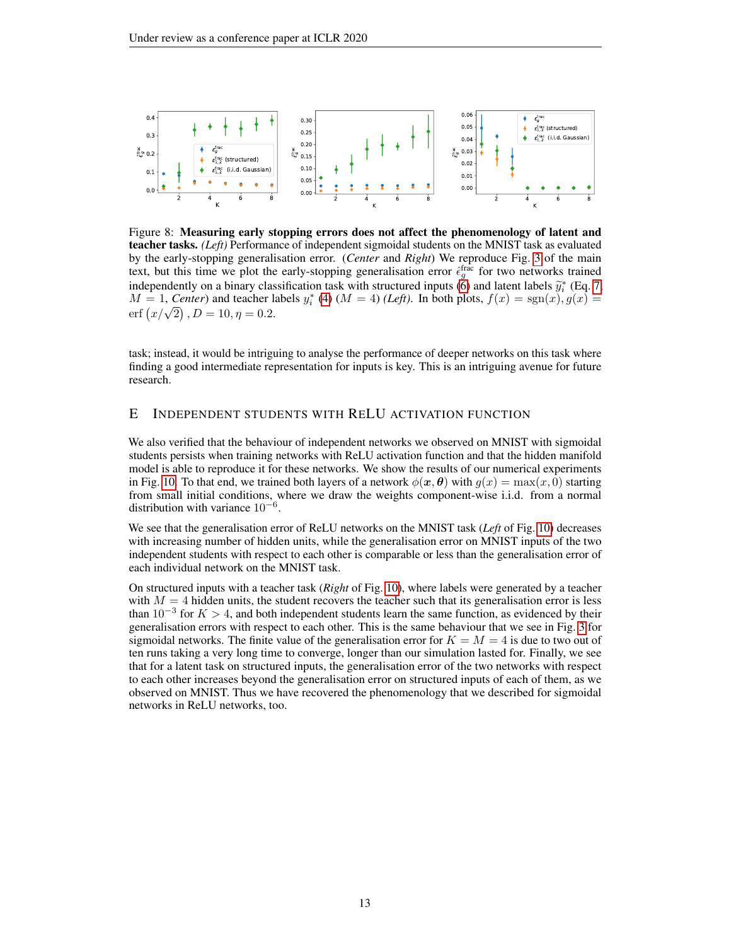<span id="page-12-1"></span>

Figure 8: Measuring early stopping errors does not affect the phenomenology of latent and teacher tasks. *(Left)* Performance of independent sigmoidal students on the MNIST task as evaluated by the early-stopping generalisation error. (*Center* and *Right*) We reproduce Fig. [3](#page-6-0) of the main text, but this time we plot the early-stopping generalisation error  $\hat{\epsilon}_g^{\text{frac}}$  for two networks trained independently on a binary classification task with structured inputs [\(6\)](#page-5-1) and latent labels  $\tilde{y}_i^*$  (Eq. [7,](#page-5-2)  $M = 1$ , Center) and teacher labels  $y_i^*$  (4) ( $M = 4$ ) (Left). In both plots,  $f(x) = \text{sgn}(x)$ ,  $g(x) =$  $M = 1$ , *Center*) and teacher labels  $y_i^*$  [\(4\)](#page-3-1)  $(M = 4)$  *(Left)*. In both plots,  $f(x) = sgn(x)$ ,  $g(x) =$  $m = 1$ , Center) and teacher is<br>erf  $\left(\frac{x}{\sqrt{2}}\right)$ ,  $D = 10$ ,  $\eta = 0.2$ .

task; instead, it would be intriguing to analyse the performance of deeper networks on this task where finding a good intermediate representation for inputs is key. This is an intriguing avenue for future research.

# <span id="page-12-0"></span>E INDEPENDENT STUDENTS WITH RELU ACTIVATION FUNCTION

We also verified that the behaviour of independent networks we observed on MNIST with sigmoidal students persists when training networks with ReLU activation function and that the hidden manifold model is able to reproduce it for these networks. We show the results of our numerical experiments in Fig. [10.](#page-13-1) To that end, we trained both layers of a network  $\phi(\mathbf{x}, \theta)$  with  $q(x) = \max(x, 0)$  starting from small initial conditions, where we draw the weights component-wise i.i.d. from a normal distribution with variance  $10^{-6}$ .

We see that the generalisation error of ReLU networks on the MNIST task (*Left* of Fig. [10\)](#page-13-1) decreases with increasing number of hidden units, while the generalisation error on MNIST inputs of the two independent students with respect to each other is comparable or less than the generalisation error of each individual network on the MNIST task.

On structured inputs with a teacher task (*Right* of Fig. [10\)](#page-13-1), where labels were generated by a teacher with  $M = 4$  hidden units, the student recovers the teacher such that its generalisation error is less than  $10^{-3}$  for  $K > 4$ , and both independent students learn the same function, as evidenced by their generalisation errors with respect to each other. This is the same behaviour that we see in Fig. [3](#page-6-0) for sigmoidal networks. The finite value of the generalisation error for  $K = M = 4$  is due to two out of ten runs taking a very long time to converge, longer than our simulation lasted for. Finally, we see that for a latent task on structured inputs, the generalisation error of the two networks with respect to each other increases beyond the generalisation error on structured inputs of each of them, as we observed on MNIST. Thus we have recovered the phenomenology that we described for sigmoidal networks in ReLU networks, too.